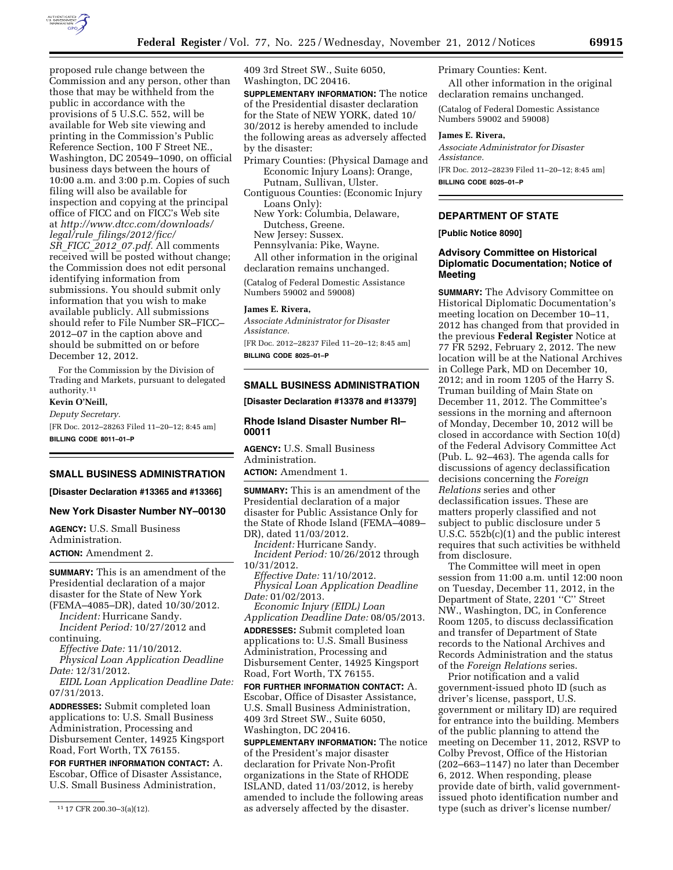

proposed rule change between the Commission and any person, other than those that may be withheld from the public in accordance with the provisions of 5 U.S.C. 552, will be available for Web site viewing and printing in the Commission's Public Reference Section, 100 F Street NE., Washington, DC 20549–1090, on official business days between the hours of 10:00 a.m. and 3:00 p.m. Copies of such filing will also be available for inspection and copying at the principal office of FICC and on FICC's Web site at *[http://www.dtcc.com/downloads/](http://www.dtcc.com/downloads/legal/rule_filings/2012/ficc/SR_FICC_2012_07.pdf) legal/rule*\_*[filings/2012/ficc/](http://www.dtcc.com/downloads/legal/rule_filings/2012/ficc/SR_FICC_2012_07.pdf)  SR*\_*FICC*\_*2012*\_*[07.pdf.](http://www.dtcc.com/downloads/legal/rule_filings/2012/ficc/SR_FICC_2012_07.pdf)* All comments received will be posted without change; the Commission does not edit personal identifying information from submissions. You should submit only information that you wish to make available publicly. All submissions should refer to File Number SR–FICC– 2012–07 in the caption above and should be submitted on or before December 12, 2012.

For the Commission by the Division of Trading and Markets, pursuant to delegated authority.11

# **Kevin O'Neill,**

*Deputy Secretary.*  [FR Doc. 2012–28263 Filed 11–20–12; 8:45 am] **BILLING CODE 8011–01–P** 

**SMALL BUSINESS ADMINISTRATION** 

**[Disaster Declaration #13365 and #13366]** 

## **New York Disaster Number NY–00130**

**AGENCY:** U.S. Small Business Administration.

**ACTION:** Amendment 2.

**SUMMARY:** This is an amendment of the Presidential declaration of a major disaster for the State of New York (FEMA–4085–DR), dated 10/30/2012.

*Incident:* Hurricane Sandy. *Incident Period:* 10/27/2012 and continuing.

*Effective Date:* 11/10/2012. *Physical Loan Application Deadline Date:* 12/31/2012.

*EIDL Loan Application Deadline Date:*  07/31/2013.

**ADDRESSES:** Submit completed loan applications to: U.S. Small Business Administration, Processing and Disbursement Center, 14925 Kingsport Road, Fort Worth, TX 76155.

**FOR FURTHER INFORMATION CONTACT:** A. Escobar, Office of Disaster Assistance, U.S. Small Business Administration,

11 17 CFR 200.30–3(a)(12).

409 3rd Street SW., Suite 6050, Washington, DC 20416.

**SUPPLEMENTARY INFORMATION:** The notice of the Presidential disaster declaration for the State of NEW YORK, dated 10/ 30/2012 is hereby amended to include the following areas as adversely affected by the disaster:

Primary Counties: (Physical Damage and Economic Injury Loans): Orange, Putnam, Sullivan, Ulster.

Contiguous Counties: (Economic Injury Loans Only):

New York: Columbia, Delaware, Dutchess, Greene.

New Jersey: Sussex.

Pennsylvania: Pike, Wayne.

All other information in the original declaration remains unchanged.

(Catalog of Federal Domestic Assistance Numbers 59002 and 59008)

#### **James E. Rivera,**

*Associate Administrator for Disaster Assistance.* 

[FR Doc. 2012–28237 Filed 11–20–12; 8:45 am] **BILLING CODE 8025–01–P** 

## **SMALL BUSINESS ADMINISTRATION**

#### **[Disaster Declaration #13378 and #13379]**

## **Rhode Island Disaster Number RI– 00011**

**AGENCY:** U.S. Small Business Administration.

**ACTION:** Amendment 1.

**SUMMARY:** This is an amendment of the Presidential declaration of a major disaster for Public Assistance Only for the State of Rhode Island (FEMA–4089– DR), dated 11/03/2012.

*Incident:* Hurricane Sandy.

*Incident Period:* 10/26/2012 through 10/31/2012.

*Effective Date:* 11/10/2012. *Physical Loan Application Deadline Date:* 01/02/2013.

*Economic Injury (EIDL) Loan Application Deadline Date:* 08/05/2013. **ADDRESSES:** Submit completed loan applications to: U.S. Small Business Administration, Processing and Disbursement Center, 14925 Kingsport Road, Fort Worth, TX 76155.

**FOR FURTHER INFORMATION CONTACT:** A. Escobar, Office of Disaster Assistance, U.S. Small Business Administration, 409 3rd Street SW., Suite 6050, Washington, DC 20416.

**SUPPLEMENTARY INFORMATION:** The notice of the President's major disaster declaration for Private Non-Profit organizations in the State of RHODE ISLAND, dated 11/03/2012, is hereby amended to include the following areas as adversely affected by the disaster.

Primary Counties: Kent.

All other information in the original declaration remains unchanged.

(Catalog of Federal Domestic Assistance Numbers 59002 and 59008)

### **James E. Rivera,**

*Associate Administrator for Disaster Assistance.*  [FR Doc. 2012–28239 Filed 11–20–12; 8:45 am]

**BILLING CODE 8025–01–P** 

## **DEPARTMENT OF STATE**

## **[Public Notice 8090]**

## **Advisory Committee on Historical Diplomatic Documentation; Notice of Meeting**

**SUMMARY:** The Advisory Committee on Historical Diplomatic Documentation's meeting location on December 10–11, 2012 has changed from that provided in the previous **Federal Register** Notice at 77 FR 5292, February 2, 2012. The new location will be at the National Archives in College Park, MD on December 10, 2012; and in room 1205 of the Harry S. Truman building of Main State on December 11, 2012. The Committee's sessions in the morning and afternoon of Monday, December 10, 2012 will be closed in accordance with Section 10(d) of the Federal Advisory Committee Act (Pub. L. 92–463). The agenda calls for discussions of agency declassification decisions concerning the *Foreign Relations* series and other declassification issues. These are matters properly classified and not subject to public disclosure under 5 U.S.C. 552b(c)(1) and the public interest requires that such activities be withheld from disclosure.

The Committee will meet in open session from 11:00 a.m. until 12:00 noon on Tuesday, December 11, 2012, in the Department of State, 2201 ''C'' Street NW., Washington, DC, in Conference Room 1205, to discuss declassification and transfer of Department of State records to the National Archives and Records Administration and the status of the *Foreign Relations* series.

Prior notification and a valid government-issued photo ID (such as driver's license, passport, U.S. government or military ID) are required for entrance into the building. Members of the public planning to attend the meeting on December 11, 2012, RSVP to Colby Prevost, Office of the Historian (202–663–1147) no later than December 6, 2012. When responding, please provide date of birth, valid governmentissued photo identification number and type (such as driver's license number/